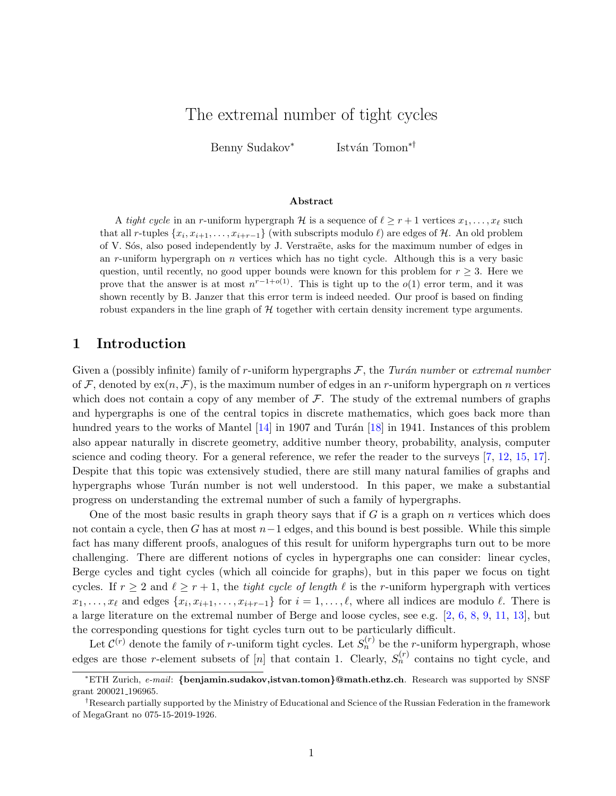# The extremal number of tight cycles

Benny Sudakov<sup>∗</sup> István Tomon<sup>∗†</sup>

#### Abstract

A tight cycle in an r-uniform hypergraph H is a sequence of  $\ell \ge r + 1$  vertices  $x_1, \ldots, x_\ell$  such that all r-tuples  $\{x_i, x_{i+1}, \ldots, x_{i+r-1}\}$  (with subscripts modulo  $\ell$ ) are edges of  $\mathcal{H}$ . An old problem of V. Sós, also posed independently by J. Verstraëte, asks for the maximum number of edges in an  $r$ -uniform hypergraph on  $n$  vertices which has no tight cycle. Although this is a very basic question, until recently, no good upper bounds were known for this problem for  $r \geq 3$ . Here we prove that the answer is at most  $n^{r-1+o(1)}$ . This is tight up to the  $o(1)$  error term, and it was shown recently by B. Janzer that this error term is indeed needed. Our proof is based on finding robust expanders in the line graph of  $H$  together with certain density increment type arguments.

### 1 Introduction

Given a (possibly infinite) family of r-uniform hypergraphs  $\mathcal{F}$ , the Turán number or extremal number of F, denoted by  $ex(n, \mathcal{F})$ , is the maximum number of edges in an r-uniform hypergraph on n vertices which does not contain a copy of any member of  $\mathcal F$ . The study of the extremal numbers of graphs and hypergraphs is one of the central topics in discrete mathematics, which goes back more than hundred years to the works of Mantel  $[14]$  in 1907 and Turán [\[18\]](#page-15-1) in 1941. Instances of this problem also appear naturally in discrete geometry, additive number theory, probability, analysis, computer science and coding theory. For a general reference, we refer the reader to the surveys [\[7,](#page-15-2) [12,](#page-15-3) [15,](#page-15-4) [17\]](#page-15-5). Despite that this topic was extensively studied, there are still many natural families of graphs and hypergraphs whose Turán number is not well understood. In this paper, we make a substantial progress on understanding the extremal number of such a family of hypergraphs.

One of the most basic results in graph theory says that if  $G$  is a graph on  $n$  vertices which does not contain a cycle, then G has at most  $n-1$  edges, and this bound is best possible. While this simple fact has many different proofs, analogues of this result for uniform hypergraphs turn out to be more challenging. There are different notions of cycles in hypergraphs one can consider: linear cycles, Berge cycles and tight cycles (which all coincide for graphs), but in this paper we focus on tight cycles. If  $r \geq 2$  and  $\ell \geq r + 1$ , the tight cycle of length  $\ell$  is the r-uniform hypergraph with vertices  $x_1, \ldots, x_\ell$  and edges  $\{x_i, x_{i+1}, \ldots, x_{i+r-1}\}$  for  $i = 1, \ldots, \ell$ , where all indices are modulo  $\ell$ . There is a large literature on the extremal number of Berge and loose cycles, see e.g. [\[2,](#page-15-6) [6,](#page-15-7) [8,](#page-15-8) [9,](#page-15-9) [11,](#page-15-10) [13\]](#page-15-11), but the corresponding questions for tight cycles turn out to be particularly difficult.

Let  $\mathcal{C}^{(r)}$  denote the family of r-uniform tight cycles. Let  $S_n^{(r)}$  be the r-uniform hypergraph, whose edges are those r-element subsets of [n] that contain 1. Clearly,  $S_n^{(r)}$  contains no tight cycle, and

<sup>\*</sup>ETH Zurich, e-mail: {benjamin.sudakov,istvan.tomon}@math.ethz.ch. Research was supported by SNSF grant 200021 196965.

<sup>†</sup>Research partially supported by the Ministry of Educational and Science of the Russian Federation in the framework of MegaGrant no 075-15-2019-1926.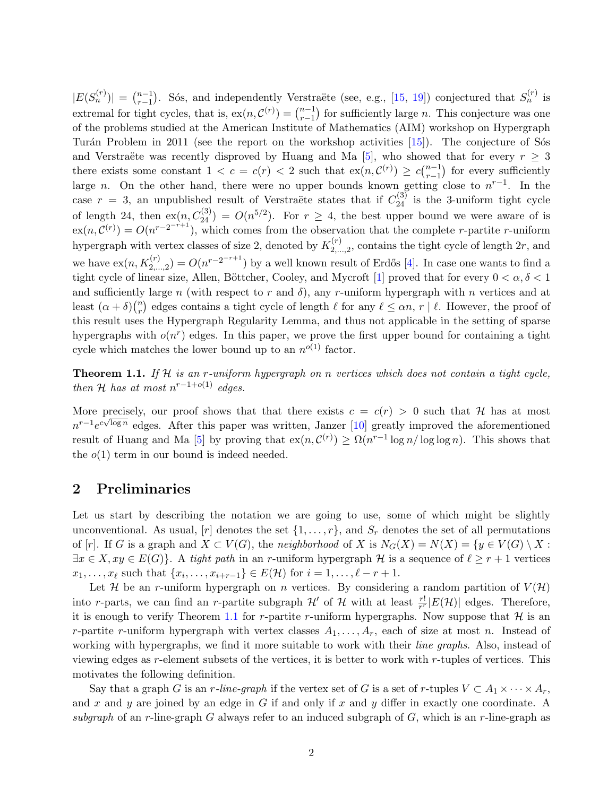$|E(S_n^{(r)})| = \binom{n-1}{r-1}$  $r-1$ , Sós, and independently Verstraëte (see, e.g., [\[15,](#page-15-4) [19\]](#page-15-12)) conjectured that  $S_n^{(r)}$  is extremal for tight cycles, that is,  $ex(n, \mathcal{C}^{(r)}) = \binom{n-1}{r-1}$  $\binom{n-1}{r-1}$  for sufficiently large *n*. This conjecture was one of the problems studied at the American Institute of Mathematics (AIM) workshop on Hypergraph Turán Problem in 2011 (see the report on the workshop activities  $[15]$ ). The conjecture of Sos and Verstraëte was recently disproved by Huang and Ma [\[5\]](#page-15-13), who showed that for every  $r \geq 3$ there exists some constant  $1 < c = c(r) < 2$  such that  $ex(n, \mathcal{C}^{(r)}) \geq c\binom{n-1}{r-1}$  $_{r-1}^{n-1}$ ) for every sufficiently large n. On the other hand, there were no upper bounds known getting close to  $n^{r-1}$ . In the case  $r = 3$ , an unpublished result of Verstraëte states that if  $C_{24}^{(3)}$  is the 3-uniform tight cycle of length 24, then  $ex(n, C_{24}^{(3)}) = O(n^{5/2})$ . For  $r \geq 4$ , the best upper bound we were aware of is  $\exp(n,\mathcal{C}^{(r)}) = O(n^{r-2^{-r+1}})$ , which comes from the observation that the complete r-partite r-uniform hypergraph with vertex classes of size 2, denoted by  $K_2^{(r)}$  $2,\ldots,2,$  contains the tight cycle of length  $2r$ , and we have  $ex(n, K_{2,...,2}^{(r)}) = O(n^{r-2^{-r+1}})$  by a well known result of Erdős [\[4\]](#page-15-14). In case one wants to find a tight cycle of linear size, Allen, Böttcher, Cooley, and Mycroft [\[1\]](#page-14-0) proved that for every  $0 < \alpha, \delta < 1$ and sufficiently large n (with respect to r and  $\delta$ ), any r-uniform hypergraph with n vertices and at least  $(\alpha + \delta)$  $\binom{n}{r}$  $\binom{n}{r}$  edges contains a tight cycle of length  $\ell$  for any  $\ell \leq \alpha n$ ,  $r \mid \ell$ . However, the proof of this result uses the Hypergraph Regularity Lemma, and thus not applicable in the setting of sparse hypergraphs with  $o(n^r)$  edges. In this paper, we prove the first upper bound for containing a tight cycle which matches the lower bound up to an  $n^{o(1)}$  factor.

<span id="page-1-0"></span>**Theorem 1.1.** If H is an r-uniform hypergraph on n vertices which does not contain a tight cycle, then H has at most  $n^{r-1+o(1)}$  edges.

More precisely, our proof shows that that there exists  $c = c(r) > 0$  such that H has at most  $n^{r-1}e^{c\sqrt{\log n}}$  edges. After this paper was written, Janzer [\[10\]](#page-15-15) greatly improved the aforementioned result of Huang and Ma [\[5\]](#page-15-13) by proving that  $ex(n, \mathcal{C}^{(r)}) \geq \Omega(n^{r-1} \log n / \log \log n)$ . This shows that the  $o(1)$  term in our bound is indeed needed.

## 2 Preliminaries

Let us start by describing the notation we are going to use, some of which might be slightly unconventional. As usual,  $[r]$  denotes the set  $\{1, \ldots, r\}$ , and  $S_r$  denotes the set of all permutations of [r]. If G is a graph and  $X \subset V(G)$ , the neighborhood of X is  $N_G(X) = N(X) = \{y \in V(G) \setminus X$ :  $\exists x \in X, xy \in E(G)$ . A tight path in an r-uniform hypergraph H is a sequence of  $\ell \geq r + 1$  vertices  $x_1, \ldots, x_\ell$  such that  $\{x_i, \ldots, x_{i+r-1}\} \in E(\mathcal{H})$  for  $i = 1, \ldots, \ell - r + 1$ .

Let H be an r-uniform hypergraph on n vertices. By considering a random partition of  $V(\mathcal{H})$ into r-parts, we can find an r-partite subgraph  $\mathcal{H}'$  of  $\mathcal{H}$  with at least  $\frac{r!}{r^r}|E(\mathcal{H})|$  edges. Therefore, it is enough to verify Theorem [1.1](#page-1-0) for r-partite r-uniform hypergraphs. Now suppose that  $\mathcal H$  is an r-partite r-uniform hypergraph with vertex classes  $A_1, \ldots, A_r$ , each of size at most n. Instead of working with hypergraphs, we find it more suitable to work with their *line graphs*. Also, instead of viewing edges as r-element subsets of the vertices, it is better to work with r-tuples of vertices. This motivates the following definition.

Say that a graph G is an r-line-graph if the vertex set of G is a set of r-tuples  $V \subset A_1 \times \cdots \times A_r$ , and x and y are joined by an edge in G if and only if x and y differ in exactly one coordinate. A subgraph of an r-line-graph G always refer to an induced subgraph of  $G$ , which is an r-line-graph as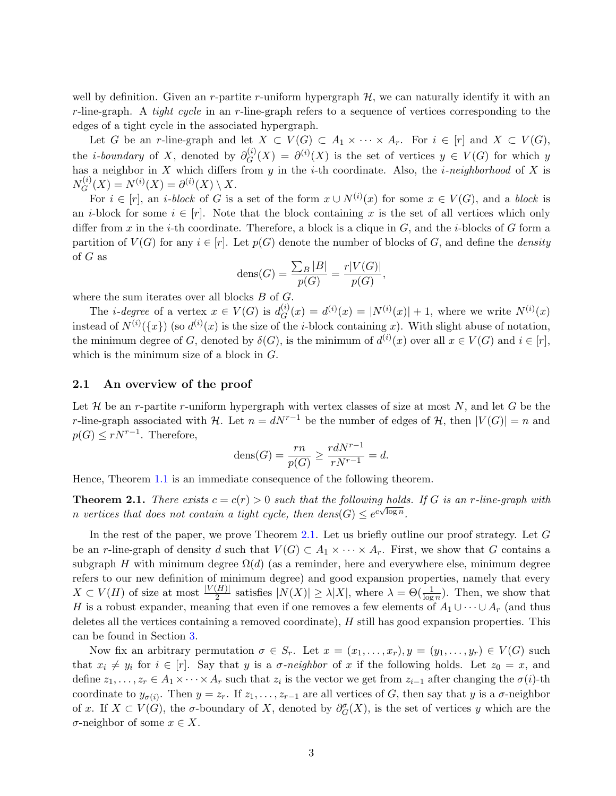well by definition. Given an r-partite r-uniform hypergraph  $H$ , we can naturally identify it with an  $r$ -line-graph. A *tight cycle* in an  $r$ -line-graph refers to a sequence of vertices corresponding to the edges of a tight cycle in the associated hypergraph.

Let G be an r-line-graph and let  $X \subset V(G) \subset A_1 \times \cdots \times A_r$ . For  $i \in [r]$  and  $X \subset V(G)$ , the *i-boundary* of X, denoted by  $\partial_C^{(i)}$  $G^{(i)}(X) = \partial^{(i)}(X)$  is the set of vertices  $y \in V(G)$  for which y has a neighbor in X which differs from y in the *i*-th coordinate. Also, the *i-neighborhood* of X is  $N_G^{(i)}$  $G^{(i)}(X) = N^{(i)}(X) = \partial^{(i)}(X) \setminus X.$ 

For  $i \in [r]$ , an *i*-block of G is a set of the form  $x \cup N^{(i)}(x)$  for some  $x \in V(G)$ , and a block is an *i*-block for some  $i \in [r]$ . Note that the block containing x is the set of all vertices which only differ from x in the *i*-th coordinate. Therefore, a block is a clique in  $G$ , and the *i*-blocks of  $G$  form a partition of  $V(G)$  for any  $i \in [r]$ . Let  $p(G)$  denote the number of blocks of G, and define the *density* of G as

$$
dens(G) = \frac{\sum_{B} |B|}{p(G)} = \frac{r|V(G)|}{p(G)},
$$

where the sum iterates over all blocks  $B$  of  $G$ .

The *i*-degree of a vertex  $x \in V(G)$  is  $d_G^{(i)}$  $G_G^{(i)}(x) = d^{(i)}(x) = |N^{(i)}(x)| + 1$ , where we write  $N^{(i)}(x)$ instead of  $N^{(i)}(\lbrace x \rbrace)$  (so  $d^{(i)}(x)$  is the size of the *i*-block containing x). With slight abuse of notation, the minimum degree of G, denoted by  $\delta(G)$ , is the minimum of  $d^{(i)}(x)$  over all  $x \in V(G)$  and  $i \in [r]$ , which is the minimum size of a block in G.

#### 2.1 An overview of the proof

Let  $\mathcal H$  be an r-partite r-uniform hypergraph with vertex classes of size at most  $N$ , and let  $G$  be the r-line-graph associated with H. Let  $n = dN^{r-1}$  be the number of edges of H, then  $|V(G)| = n$  and  $p(G) \leq rN^{r-1}$ . Therefore,

$$
dens(G) = \frac{rn}{p(G)} \ge \frac{rdN^{r-1}}{rN^{r-1}} = d.
$$

<span id="page-2-0"></span>Hence, Theorem [1.1](#page-1-0) is an immediate consequence of the following theorem.

**Theorem 2.1.** There exists  $c = c(r) > 0$  such that the following holds. If G is an r-line-graph with n vertices that does not contain a tight cycle, then  $dens(G) \leq e^{c\sqrt{\log n}}$ .

In the rest of the paper, we prove Theorem [2.1.](#page-2-0) Let us briefly outline our proof strategy. Let G be an r-line-graph of density d such that  $V(G) \subset A_1 \times \cdots \times A_r$ . First, we show that G contains a subgraph H with minimum degree  $\Omega(d)$  (as a reminder, here and everywhere else, minimum degree refers to our new definition of minimum degree) and good expansion properties, namely that every  $X \subset V(H)$  of size at most  $\frac{|V(H)|}{2}$  satisfies  $|N(X)| \geq \lambda |X|$ , where  $\lambda = \Theta(\frac{1}{\log n})$ . Then, we show that H is a robust expander, meaning that even if one removes a few elements of  $A_1 \cup \cdots \cup A_r$  (and thus deletes all the vertices containing a removed coordinate), H still has good expansion properties. This can be found in Section [3.](#page-3-0)

Now fix an arbitrary permutation  $\sigma \in S_r$ . Let  $x = (x_1, \ldots, x_r), y = (y_1, \ldots, y_r) \in V(G)$  such that  $x_i \neq y_i$  for  $i \in [r]$ . Say that y is a  $\sigma$ -neighbor of x if the following holds. Let  $z_0 = x$ , and define  $z_1, \ldots, z_r \in A_1 \times \cdots \times A_r$  such that  $z_i$  is the vector we get from  $z_{i-1}$  after changing the  $\sigma(i)$ -th coordinate to  $y_{\sigma(i)}$ . Then  $y = z_r$ . If  $z_1, \ldots, z_{r-1}$  are all vertices of G, then say that y is a  $\sigma$ -neighbor of x. If  $X \subset V(G)$ , the  $\sigma$ -boundary of X, denoted by  $\partial_G^{\sigma}(X)$ , is the set of vertices y which are the  $\sigma$ -neighbor of some  $x \in X$ .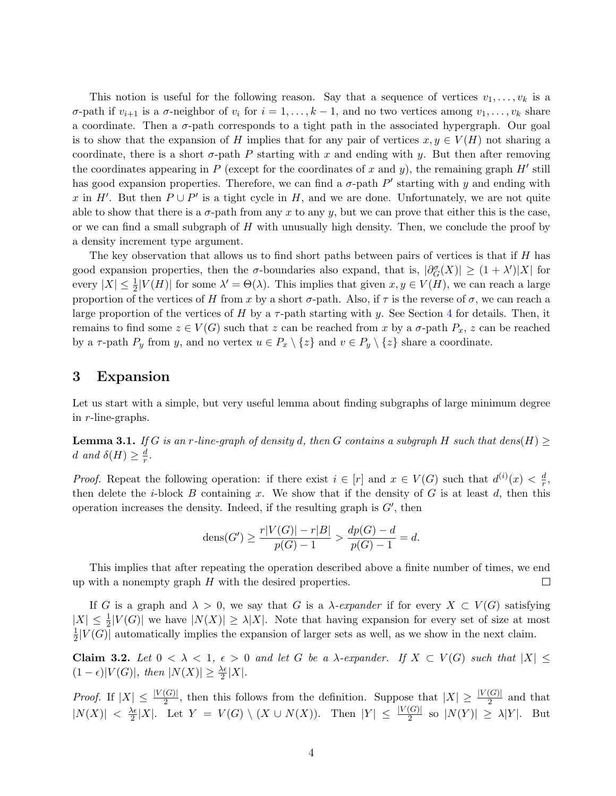This notion is useful for the following reason. Say that a sequence of vertices  $v_1, \ldots, v_k$  is a σ-path if  $v_{i+1}$  is a σ-neighbor of  $v_i$  for  $i = 1, ..., k - 1$ , and no two vertices among  $v_1, ..., v_k$  share a coordinate. Then a  $\sigma$ -path corresponds to a tight path in the associated hypergraph. Our goal is to show that the expansion of H implies that for any pair of vertices  $x, y \in V(H)$  not sharing a coordinate, there is a short  $\sigma$ -path P starting with x and ending with y. But then after removing the coordinates appearing in P (except for the coordinates of x and y), the remaining graph  $H'$  still has good expansion properties. Therefore, we can find a  $\sigma$ -path  $P'$  starting with y and ending with x in H'. But then  $P \cup P'$  is a tight cycle in H, and we are done. Unfortunately, we are not quite able to show that there is a  $\sigma$ -path from any x to any y, but we can prove that either this is the case, or we can find a small subgraph of  $H$  with unusually high density. Then, we conclude the proof by a density increment type argument.

The key observation that allows us to find short paths between pairs of vertices is that if  $H$  has good expansion properties, then the  $\sigma$ -boundaries also expand, that is,  $|\partial_G^{\sigma}(X)| \geq (1 + \lambda')|X|$  for every  $|X| \leq \frac{1}{2}|V(H)|$  for some  $\lambda' = \Theta(\lambda)$ . This implies that given  $x, y \in V(H)$ , we can reach a large proportion of the vertices of H from x by a short  $\sigma$ -path. Also, if  $\tau$  is the reverse of  $\sigma$ , we can reach a large proportion of the vertices of H by a  $\tau$ -path starting with y. See Section [4](#page-6-0) for details. Then, it remains to find some  $z \in V(G)$  such that z can be reached from x by a  $\sigma$ -path  $P_x$ , z can be reached by a  $\tau$ -path  $P_y$  from y, and no vertex  $u \in P_x \setminus \{z\}$  and  $v \in P_y \setminus \{z\}$  share a coordinate.

### <span id="page-3-0"></span>3 Expansion

Let us start with a simple, but very useful lemma about finding subgraphs of large minimum degree in r-line-graphs.

<span id="page-3-1"></span>**Lemma 3.1.** If G is an r-line-graph of density d, then G contains a subgraph H such that dens(H)  $\geq$ d and  $\delta(H) \geq \frac{d}{r}$  $\frac{d}{r}$ .

*Proof.* Repeat the following operation: if there exist  $i \in [r]$  and  $x \in V(G)$  such that  $d^{(i)}(x) < \frac{d}{x}$  $\frac{d}{r},$ then delete the *i*-block B containing x. We show that if the density of G is at least d, then this operation increases the density. Indeed, if the resulting graph is  $G'$ , then

$$
dens(G') \ge \frac{r|V(G)| - r|B|}{p(G) - 1} > \frac{dp(G) - d}{p(G) - 1} = d.
$$

This implies that after repeating the operation described above a finite number of times, we end up with a nonempty graph  $H$  with the desired properties.  $\Box$ 

If G is a graph and  $\lambda > 0$ , we say that G is a  $\lambda$ -expander if for every  $X \subset V(G)$  satisfying  $|X| \leq \frac{1}{2}|V(G)|$  we have  $|N(X)| \geq \lambda |X|$ . Note that having expansion for every set of size at most 1  $\frac{1}{2}|V(G)|$  automatically implies the expansion of larger sets as well, as we show in the next claim.

<span id="page-3-2"></span>Claim 3.2. Let  $0 < \lambda < 1$ ,  $\epsilon > 0$  and let G be a  $\lambda$ -expander. If  $X \subset V(G)$  such that  $|X| \leq$  $(1 - \epsilon)|V(G)|$ , then  $|N(X)| \geq \frac{\lambda \epsilon}{2}|X|$ .

*Proof.* If  $|X| \leq \frac{|V(G)|}{2}$ , then this follows from the definition. Suppose that  $|X| \geq \frac{|V(G)|}{2}$  and that  $|N(X)| < \frac{\lambda \epsilon}{2}$  $\frac{\lambda \epsilon}{2}|X|$ . Let  $Y = V(G) \setminus (X \cup N(X))$ . Then  $|Y| \leq \frac{|V(G)|}{2}$  so  $|N(Y)| \geq \lambda |Y|$ . But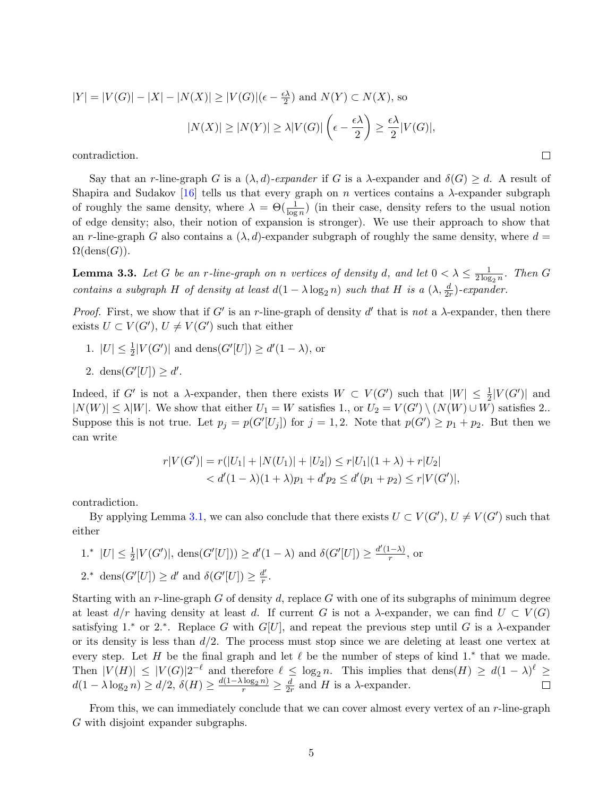$$
|Y| = |V(G)| - |X| - |N(X)| \ge |V(G)|(\epsilon - \frac{\epsilon \lambda}{2}) \text{ and } N(Y) \subset N(X), \text{ so}
$$

$$
|N(X)| \ge |N(Y)| \ge \lambda |V(G)| \left(\epsilon - \frac{\epsilon \lambda}{2}\right) \ge \frac{\epsilon \lambda}{2} |V(G)|,
$$
contradiction.

contradiction.

Say that an r-line-graph G is a  $(\lambda, d)$ -expander if G is a  $\lambda$ -expander and  $\delta(G) \geq d$ . A result of Shapira and Sudakov [\[16\]](#page-15-16) tells us that every graph on n vertices contains a  $\lambda$ -expander subgraph of roughly the same density, where  $\lambda = \Theta(\frac{1}{\log n})$  (in their case, density refers to the usual notion of edge density; also, their notion of expansion is stronger). We use their approach to show that an r-line-graph G also contains a  $(\lambda, d)$ -expander subgraph of roughly the same density, where  $d =$  $\Omega(\text{dens}(G)).$ 

<span id="page-4-0"></span>**Lemma 3.3.** Let G be an r-line-graph on n vertices of density d, and let  $0 < \lambda \leq \frac{1}{2 \log n}$  $\frac{1}{2 \log_2 n}$ . Then G contains a subgraph H of density at least  $d(1 - \lambda \log_2 n)$  such that H is a  $(\lambda, \frac{d}{2r})$ -expander.

Proof. First, we show that if G' is an r-line-graph of density  $d'$  that is not a  $\lambda$ -expander, then there exists  $U \subset V(G')$ ,  $U \neq V(G')$  such that either

- 1.  $|U| \leq \frac{1}{2}|V(G')|$  and  $\text{dens}(G'[U]) \geq d'(1 \lambda)$ , or
- 2. dens $(G'[U]) \geq d'$ .

Indeed, if G' is not a  $\lambda$ -expander, then there exists  $W \subset V(G')$  such that  $|W| \leq \frac{1}{2}|V(G')|$  and  $|N(W)| \leq \lambda |W|$ . We show that either  $U_1 = W$  satisfies 1., or  $U_2 = V(G') \setminus (N(W) \cup W)$  satisfies 2.. Suppose this is not true. Let  $p_j = p(G'[U_j])$  for  $j = 1, 2$ . Note that  $p(G') \geq p_1 + p_2$ . But then we can write

$$
r|V(G')| = r(|U_1| + |N(U_1)| + |U_2|) \le r|U_1|(1 + \lambda) + r|U_2|
$$
  
< 
$$
< d'(1 - \lambda)(1 + \lambda)p_1 + d'p_2 \le d'(p_1 + p_2) \le r|V(G')|,
$$

contradiction.

By applying Lemma [3.1,](#page-3-1) we can also conclude that there exists  $U \subset V(G')$ ,  $U \neq V(G')$  such that either

- 1.<sup>∗</sup> |*U*| ≤  $\frac{1}{2}$ |*V*(*G'*)|, dens(*G'*[*U*])) ≥ *d'*(1 − λ) and  $\delta(G'[U]) \ge \frac{d'(1-\lambda)}{r}$  $\frac{(-\lambda)}{r}$ , or
- 2.\* dens $(G'[U]) \geq d'$  and  $\delta(G'[U]) \geq \frac{d'}{r}$  $\frac{r}{r}$  .

Starting with an r-line-graph G of density d, replace G with one of its subgraphs of minimum degree at least  $d/r$  having density at least d. If current G is not a  $\lambda$ -expander, we can find  $U \subset V(G)$ satisfying 1.<sup>\*</sup> or 2.<sup>\*</sup>. Replace G with G[U], and repeat the previous step until G is a  $\lambda$ -expander or its density is less than  $d/2$ . The process must stop since we are deleting at least one vertex at every step. Let H be the final graph and let  $\ell$  be the number of steps of kind 1.<sup>\*</sup> that we made. Then  $|V(H)| \leq |V(G)| 2^{-\ell}$  and therefore  $\ell \leq \log_2 n$ . This implies that  $\text{dens}(H) \geq d(1 - \lambda)^{\ell} \geq$  $d(1-\lambda\log_2 n)\geq d/2, \, \delta(H)\geq \frac{d(1-\lambda\log_2 n)}{r}\geq \frac{d}{2n}$  $\frac{d}{2r}$  and H is a  $\lambda$ -expander.

<span id="page-4-1"></span>From this, we can immediately conclude that we can cover almost every vertex of an r-line-graph G with disjoint expander subgraphs.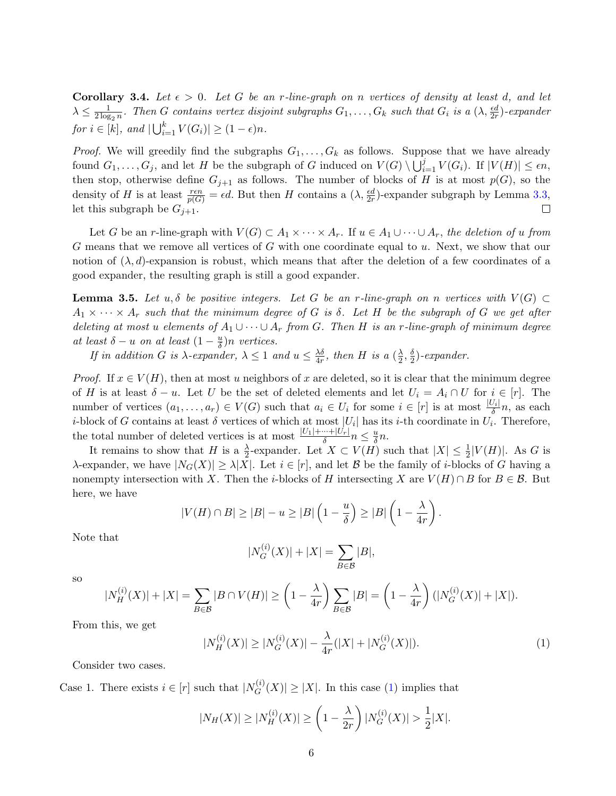**Corollary 3.4.** Let  $\epsilon > 0$ . Let G be an r-line-graph on n vertices of density at least d, and let  $\lambda \leq \frac{1}{2 \log n}$  $\frac{1}{2\log_2 n}$ . Then G contains vertex disjoint subgraphs  $G_1,\ldots,G_k$  such that  $G_i$  is a  $(\lambda,\frac{\epsilon d}{2r})$ -expander for  $i \in [k]$ , and  $|\bigcup_{i=1}^k V(G_i)| \geq (1 - \epsilon)n$ .

*Proof.* We will greedily find the subgraphs  $G_1, \ldots, G_k$  as follows. Suppose that we have already found  $G_1, \ldots, G_j$ , and let H be the subgraph of G induced on  $V(G) \setminus \bigcup_{i=1}^j V(G_i)$ . If  $|V(H)| \leq \epsilon n$ , then stop, otherwise define  $G_{j+1}$  as follows. The number of blocks of H is at most  $p(G)$ , so the density of H is at least  $\frac{ren}{p(G)} = \epsilon d$ . But then H contains a  $(\lambda, \frac{\epsilon d}{2r})$ -expander subgraph by Lemma [3.3,](#page-4-0) let this subgraph be  $G_{j+1}$ .  $\Box$ 

Let G be an r-line-graph with  $V(G) \subset A_1 \times \cdots \times A_r$ . If  $u \in A_1 \cup \cdots \cup A_r$ , the deletion of u from G means that we remove all vertices of G with one coordinate equal to u. Next, we show that our notion of  $(\lambda, d)$ -expansion is robust, which means that after the deletion of a few coordinates of a good expander, the resulting graph is still a good expander.

<span id="page-5-1"></span>**Lemma 3.5.** Let u,  $\delta$  be positive integers. Let G be an r-line-graph on n vertices with  $V(G) \subset$  $A_1 \times \cdots \times A_r$  such that the minimum degree of G is  $\delta$ . Let H be the subgraph of G we get after deleting at most u elements of  $A_1 \cup \cdots \cup A_r$  from G. Then H is an r-line-graph of minimum degree at least  $\delta - u$  on at least  $(1 - \frac{u}{\delta})$  $\frac{u}{\delta}$ )n vertices.

If in addition G is  $\lambda$ -expander,  $\lambda \leq 1$  and  $u \leq \frac{\lambda \delta}{4x}$  $\frac{\lambda \delta}{4r}$ , then H is a  $(\frac{\lambda}{2})$  $\frac{\lambda}{2}, \frac{\delta}{2}$  $\frac{\delta}{2}$ )-expander.

*Proof.* If  $x \in V(H)$ , then at most u neighbors of x are deleted, so it is clear that the minimum degree of H is at least  $\delta - u$ . Let U be the set of deleted elements and let  $U_i = A_i \cap U$  for  $i \in [r]$ . The number of vertices  $(a_1, \ldots, a_r) \in V(G)$  such that  $a_i \in U_i$  for some  $i \in [r]$  is at most  $\frac{|U_i|}{\delta}n$ , as each *i*-block of G contains at least  $\delta$  vertices of which at most  $|U_i|$  has its *i*-th coordinate in  $U_i$ . Therefore, the total number of deleted vertices is at most  $\frac{|U_1| + \dots + |U_r|}{\delta} n \leq \frac{u}{\delta}$  $\frac{u}{\delta}n$ .

It remains to show that H is a  $\frac{\lambda}{2}$ -expander. Let  $X \subset V(H)$  such that  $|X| \leq \frac{1}{2}|V(H)|$ . As G is  $\lambda$ -expander, we have  $|N_G(X)| \geq \lambda |X|$ . Let  $i \in [r]$ , and let B be the family of *i*-blocks of G having a nonempty intersection with X. Then the i-blocks of H intersecting X are  $V(H) \cap B$  for  $B \in \mathcal{B}$ . But here, we have

$$
|V(H) \cap B| \ge |B| - u \ge |B| \left(1 - \frac{u}{\delta}\right) \ge |B| \left(1 - \frac{\lambda}{4r}\right).
$$

Note that

$$
|N_G^{(i)}(X)| + |X| = \sum_{B \in \mathcal{B}} |B|,
$$

so

$$
|N_H^{(i)}(X)| + |X| = \sum_{B \in \mathcal{B}} |B \cap V(H)| \ge \left(1 - \frac{\lambda}{4r}\right) \sum_{B \in \mathcal{B}} |B| = \left(1 - \frac{\lambda}{4r}\right) (|N_G^{(i)}(X)| + |X|).
$$

From this, we get

<span id="page-5-0"></span>
$$
|N_H^{(i)}(X)| \ge |N_G^{(i)}(X)| - \frac{\lambda}{4r}(|X| + |N_G^{(i)}(X)|). \tag{1}
$$

Consider two cases.

Case 1. There exists  $i \in [r]$  such that  $|N_G^{(i)}|$  $|G_G^{(i)}(X)| \geq |X|$ . In this case [\(1\)](#page-5-0) implies that

$$
|N_H(X)| \ge |N_H^{(i)}(X)| \ge \left(1 - \frac{\lambda}{2r}\right)|N_G^{(i)}(X)| > \frac{1}{2}|X|.
$$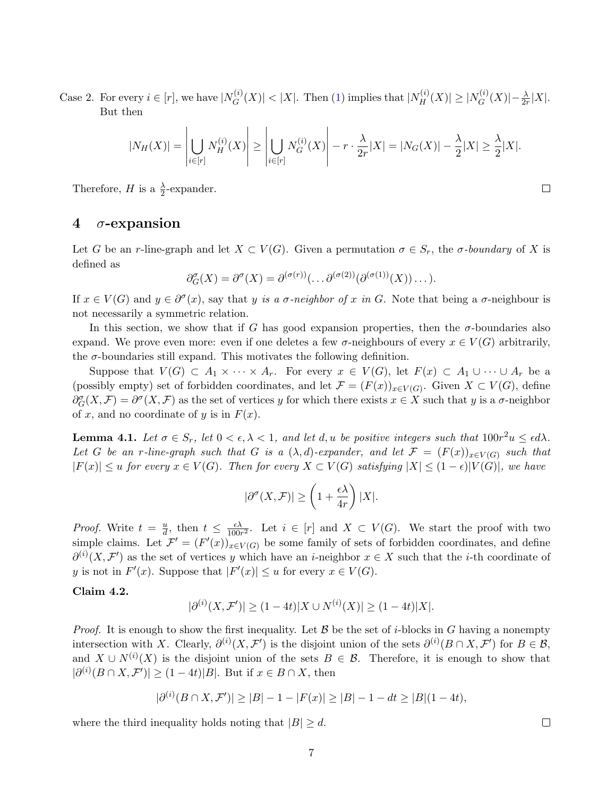Case 2. For every  $i \in [r]$ , we have  $N_G^{(i)}$  $|G_G^{(i)}(X)| < |X|$ . Then [\(1\)](#page-5-0) implies that  $|N_H^{(i)}(X)| \ge |N_G^{(i)}|$  $\frac{G^{(i)}}{G}(X) \big| - \frac{\lambda}{2r} |X|.$ But then

$$
|N_H(X)| = \left| \bigcup_{i \in [r]} N_H^{(i)}(X) \right| \ge \left| \bigcup_{i \in [r]} N_G^{(i)}(X) \right| - r \cdot \frac{\lambda}{2r} |X| = |N_G(X)| - \frac{\lambda}{2}|X| \ge \frac{\lambda}{2}|X|.
$$

Therefore, *H* is a  $\frac{\lambda}{2}$ -expander.

## <span id="page-6-0"></span>4  $\sigma$ -expansion

Let G be an r-line-graph and let  $X \subset V(G)$ . Given a permutation  $\sigma \in S_r$ , the  $\sigma$ -boundary of X is defined as

$$
\partial_G^{\sigma}(X) = \partial^{\sigma}(X) = \partial^{(\sigma(r))}(\dots \partial^{(\sigma(2))}(\partial^{(\sigma(1))}(X))\dots).
$$

If  $x \in V(G)$  and  $y \in \partial^{\sigma}(x)$ , say that y is a  $\sigma$ -neighbor of x in G. Note that being a  $\sigma$ -neighbour is not necessarily a symmetric relation.

In this section, we show that if G has good expansion properties, then the  $\sigma$ -boundaries also expand. We prove even more: even if one deletes a few  $\sigma$ -neighbours of every  $x \in V(G)$  arbitrarily, the  $\sigma$ -boundaries still expand. This motivates the following definition.

Suppose that  $V(G) \subset A_1 \times \cdots \times A_r$ . For every  $x \in V(G)$ , let  $F(x) \subset A_1 \cup \cdots \cup A_r$  be a (possibly empty) set of forbidden coordinates, and let  $\mathcal{F} = (F(x))_{x \in V(G)}$ . Given  $X \subset V(G)$ , define  $\partial_G^{\sigma}(X,\mathcal{F})=\partial^{\sigma}(X,\mathcal{F})$  as the set of vertices y for which there exists  $x \in X$  such that y is a  $\sigma$ -neighbor of x, and no coordinate of y is in  $F(x)$ .

<span id="page-6-3"></span>**Lemma 4.1.** Let  $\sigma \in S_r$ , let  $0 < \epsilon, \lambda < 1$ , and let d, u be positive integers such that  $100r^2u \leq \epsilon d\lambda$ . Let G be an r-line-graph such that G is a  $(\lambda, d)$ -expander, and let  $\mathcal{F} = (F(x))_{x \in V(G)}$  such that  $|F(x)| \le u$  for every  $x \in V(G)$ . Then for every  $X \subset V(G)$  satisfying  $|X| \le (1 - \epsilon)|V(G)|$ , we have

$$
|\partial^{\sigma}(X,\mathcal{F})| \ge \left(1 + \frac{\epsilon \lambda}{4r}\right)|X|.
$$

*Proof.* Write  $t = \frac{u}{d}$  $\frac{u}{d}$ , then  $t \leq \frac{\epsilon \lambda}{100n}$  $\frac{\epsilon \lambda}{100r^2}$ . Let  $i \in [r]$  and  $X \subset V(G)$ . We start the proof with two simple claims. Let  $\mathcal{F}' = (F'(x))_{x \in V(G)}$  be some family of sets of forbidden coordinates, and define  $\partial^{(i)}(X,\mathcal{F}')$  as the set of vertices y which have an *i*-neighbor  $x \in X$  such that the *i*-th coordinate of y is not in  $F'(x)$ . Suppose that  $|F'(x)| \le u$  for every  $x \in V(G)$ .

### <span id="page-6-1"></span>Claim 4.2.

$$
|\partial^{(i)}(X,\mathcal{F}')| \ge (1-4t)|X \cup N^{(i)}(X)| \ge (1-4t)|X|.
$$

*Proof.* It is enough to show the first inequality. Let  $\mathcal B$  be the set of *i*-blocks in G having a nonempty intersection with X. Clearly,  $\partial^{(i)}(X, \mathcal{F}')$  is the disjoint union of the sets  $\partial^{(i)}(B \cap X, \mathcal{F}')$  for  $B \in \mathcal{B}$ , and  $X \cup N^{(i)}(X)$  is the disjoint union of the sets  $B \in \mathcal{B}$ . Therefore, it is enough to show that  $|\partial^{(i)}(B \cap X, \mathcal{F}')| \ge (1 - 4t)|B|$ . But if  $x \in B \cap X$ , then

$$
|\partial^{(i)}(B \cap X, \mathcal{F}')| \ge |B| - 1 - |F(x)| \ge |B| - 1 - dt \ge |B|(1 - 4t),
$$

<span id="page-6-2"></span>where the third inequality holds noting that  $|B| \geq d$ .

 $\Box$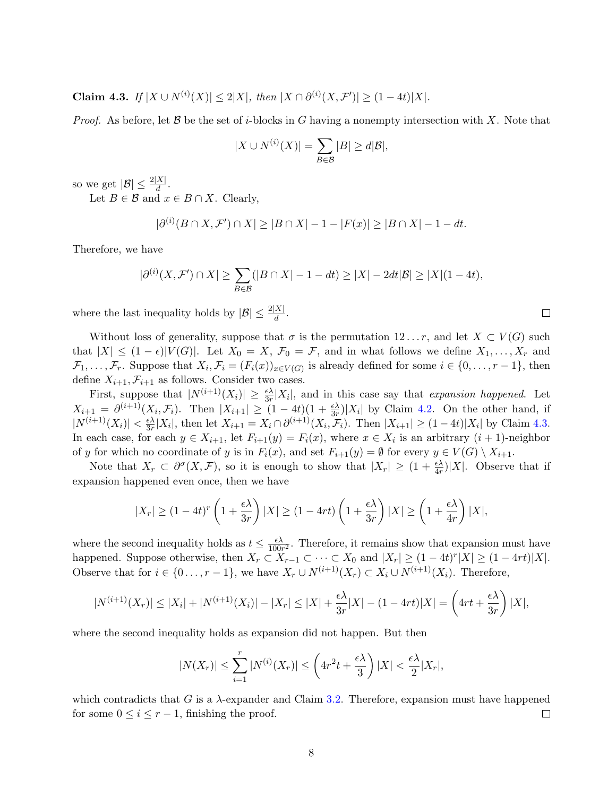Claim 4.3. If  $|X \cup N^{(i)}(X)| \leq 2|X|$ , then  $|X \cap \partial^{(i)}(X, \mathcal{F}')| \geq (1-4t)|X|$ .

*Proof.* As before, let B be the set of *i*-blocks in G having a nonempty intersection with X. Note that

$$
|X \cup N^{(i)}(X)| = \sum_{B \in \mathcal{B}} |B| \ge d|\mathcal{B}|,
$$

so we get  $|\mathcal{B}| \leq \frac{2|X|}{d}$ .

Let  $B \in \mathcal{B}$  and  $x \in B \cap X$ . Clearly,

$$
|\partial^{(i)}(B \cap X, \mathcal{F}') \cap X| \ge |B \cap X| - 1 - |F(x)| \ge |B \cap X| - 1 - dt.
$$

Therefore, we have

$$
|\partial^{(i)}(X,\mathcal{F}') \cap X| \ge \sum_{B \in \mathcal{B}} (|B \cap X| - 1 - dt) \ge |X| - 2dt|\mathcal{B}| \ge |X|(1 - 4t),
$$

 $\Box$ 

where the last inequality holds by  $|\mathcal{B}| \leq \frac{2|X|}{d}$ .

Without loss of generality, suppose that  $\sigma$  is the permutation  $12 \ldots r$ , and let  $X \subset V(G)$  such that  $|X| \leq (1 - \epsilon)|V(G)|$ . Let  $X_0 = X$ ,  $\mathcal{F}_0 = \mathcal{F}$ , and in what follows we define  $X_1, \ldots, X_r$  and  $\mathcal{F}_1,\ldots,\mathcal{F}_r$ . Suppose that  $X_i,\mathcal{F}_i=(F_i(x))_{x\in V(G)}$  is already defined for some  $i\in\{0,\ldots,r-1\}$ , then define  $X_{i+1}, \mathcal{F}_{i+1}$  as follows. Consider two cases.

First, suppose that  $|N^{(i+1)}(X_i)| \geq \frac{\epsilon \lambda}{3r}|X_i|$ , and in this case say that *expansion happened*. Let  $X_{i+1} = \partial^{(i+1)}(X_i, \mathcal{F}_i)$ . Then  $|X_{i+1}| \geq (1-4t)(1+\frac{\epsilon \lambda}{3r})|X_i|$  by Claim [4.2.](#page-6-1) On the other hand, if  $|N^{(i+1)}(X_i)| < \frac{\epsilon \lambda}{3r}$  $\frac{\epsilon \lambda}{3r}|X_i|$ , then let  $X_{i+1} = X_i \cap \partial^{(i+1)}(X_i, \mathcal{F}_i)$ . Then  $|X_{i+1}| \geq (1-4t)|X_i|$  by Claim [4.3.](#page-6-2) In each case, for each  $y \in X_{i+1}$ , let  $F_{i+1}(y) = F_i(x)$ , where  $x \in X_i$  is an arbitrary  $(i+1)$ -neighbor of y for which no coordinate of y is in  $F_i(x)$ , and set  $F_{i+1}(y) = \emptyset$  for every  $y \in V(G) \setminus X_{i+1}$ .

Note that  $X_r \subset \partial^{\sigma}(X,\mathcal{F})$ , so it is enough to show that  $|X_r| \geq (1 + \frac{\epsilon \lambda}{4r})|X|$ . Observe that if expansion happened even once, then we have

$$
|X_r| \ge (1-4t)^r \left(1+\frac{\epsilon \lambda}{3r}\right)|X| \ge (1-4rt) \left(1+\frac{\epsilon \lambda}{3r}\right)|X| \ge \left(1+\frac{\epsilon \lambda}{4r}\right)|X|,
$$

where the second inequality holds as  $t \leq \frac{\epsilon \lambda}{100}$  $\frac{\epsilon \lambda}{100r^2}$ . Therefore, it remains show that expansion must have happened. Suppose otherwise, then  $X_r \subset X_{r-1} \subset \cdots \subset X_0$  and  $|X_r| \geq (1-4t)^r |X| \geq (1-4rt)|X|$ . Observe that for  $i \in \{0 \ldots, r-1\}$ , we have  $X_r \cup N^{(i+1)}(X_r) \subset X_i \cup N^{(i+1)}(X_i)$ . Therefore,

$$
|N^{(i+1)}(X_r)| \le |X_i| + |N^{(i+1)}(X_i)| - |X_r| \le |X| + \frac{\epsilon \lambda}{3r}|X| - (1 - 4rt)|X| = \left(4rt + \frac{\epsilon \lambda}{3r}\right)|X|,
$$

where the second inequality holds as expansion did not happen. But then

$$
|N(X_r)| \le \sum_{i=1}^r |N^{(i)}(X_r)| \le \left(4r^2t + \frac{\epsilon \lambda}{3}\right)|X| < \frac{\epsilon \lambda}{2}|X_r|,
$$

which contradicts that G is a  $\lambda$ -expander and Claim [3.2.](#page-3-2) Therefore, expansion must have happened for some  $0 \leq i \leq r-1$ , finishing the proof.  $\Box$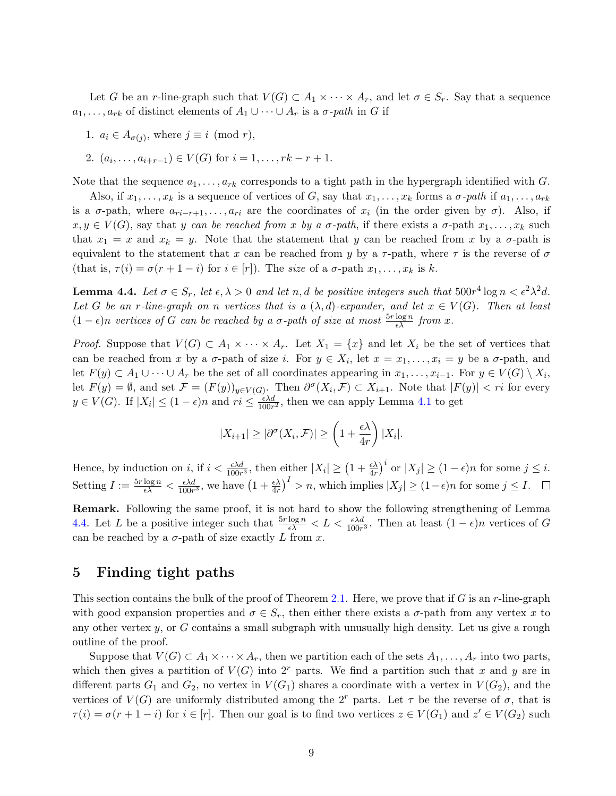Let G be an r-line-graph such that  $V(G) \subset A_1 \times \cdots \times A_r$ , and let  $\sigma \in S_r$ . Say that a sequence  $a_1, \ldots, a_{rk}$  of distinct elements of  $A_1 \cup \cdots \cup A_r$  is a  $\sigma$ -path in G if

1. 
$$
a_i \in A_{\sigma(j)}
$$
, where  $j \equiv i \pmod{r}$ ,

2. 
$$
(a_i, ..., a_{i+r-1}) \in V(G)
$$
 for  $i = 1, ..., rk - r + 1$ .

Note that the sequence  $a_1, \ldots, a_{rk}$  corresponds to a tight path in the hypergraph identified with G.

Also, if  $x_1, \ldots, x_k$  is a sequence of vertices of G, say that  $x_1, \ldots, x_k$  forms a  $\sigma$ -path if  $a_1, \ldots, a_{rk}$ is a  $\sigma$ -path, where  $a_{ri-r+1}, \ldots, a_{ri}$  are the coordinates of  $x_i$  (in the order given by  $\sigma$ ). Also, if  $x, y \in V(G)$ , say that y can be reached from x by a  $\sigma$ -path, if there exists a  $\sigma$ -path  $x_1, \ldots, x_k$  such that  $x_1 = x$  and  $x_k = y$ . Note that the statement that y can be reached from x by a  $\sigma$ -path is equivalent to the statement that x can be reached from y by a  $\tau$ -path, where  $\tau$  is the reverse of  $\sigma$ (that is,  $\tau(i) = \sigma(r+1-i)$  for  $i \in [r]$ ). The size of a  $\sigma$ -path  $x_1, \ldots, x_k$  is k.

<span id="page-8-0"></span>**Lemma 4.4.** Let  $\sigma \in S_r$ , let  $\epsilon, \lambda > 0$  and let n, d be positive integers such that  $500r^4 \log n < \epsilon^2 \lambda^2 d$ . Let G be an r-line-graph on n vertices that is a  $(\lambda, d)$ -expander, and let  $x \in V(G)$ . Then at least  $(1 - \epsilon)n$  vertices of G can be reached by a  $\sigma$ -path of size at most  $\frac{5r \log n}{\epsilon \lambda}$  from x.

*Proof.* Suppose that  $V(G) \subset A_1 \times \cdots \times A_r$ . Let  $X_1 = \{x\}$  and let  $X_i$  be the set of vertices that can be reached from x by a  $\sigma$ -path of size i. For  $y \in X_i$ , let  $x = x_1, \ldots, x_i = y$  be a  $\sigma$ -path, and let  $F(y) \subset A_1 \cup \cdots \cup A_r$  be the set of all coordinates appearing in  $x_1, \ldots, x_{i-1}$ . For  $y \in V(G) \setminus X_i$ , let  $F(y) = \emptyset$ , and set  $\mathcal{F} = (F(y))_{y \in V(G)}$ . Then  $\partial^{\sigma}(X_i, \mathcal{F}) \subset X_{i+1}$ . Note that  $|F(y)| < ri$  for every  $y \in V(G)$ . If  $|X_i| \leq (1 - \epsilon)n$  and  $ri \leq \frac{\epsilon \lambda d}{100n}$  $\frac{\epsilon \lambda d}{100r^2}$ , then we can apply Lemma [4.1](#page-6-3) to get

$$
|X_{i+1}| \geq |\partial^{\sigma}(X_i, \mathcal{F})| \geq \left(1 + \frac{\epsilon \lambda}{4r}\right)|X_i|.
$$

Hence, by induction on i, if  $i < \frac{\epsilon \lambda d}{100r^3}$ , then either  $|X_i| \ge (1 + \frac{\epsilon \lambda}{4r})^i$  or  $|X_j| \ge (1 - \epsilon)n$  for some  $j \le i$ . Setting  $I := \frac{5r \log n}{\epsilon \lambda} < \frac{\epsilon \lambda d}{100r}$  $\frac{\epsilon \lambda d}{100r^3}$ , we have  $\left(1+\frac{\epsilon \lambda}{4r}\right)^I > n$ , which implies  $|X_j| \ge (1-\epsilon)n$  for some  $j \le I$ .

Remark. Following the same proof, it is not hard to show the following strengthening of Lemma [4.4.](#page-8-0) Let L be a positive integer such that  $\frac{5r \log n}{\epsilon \lambda} < L < \frac{\epsilon \lambda d}{100r^3}$ . Then at least  $(1 - \epsilon)n$  vertices of G can be reached by a  $\sigma$ -path of size exactly L from x.

## 5 Finding tight paths

This section contains the bulk of the proof of Theorem [2.1.](#page-2-0) Here, we prove that if G is an r-line-graph with good expansion properties and  $\sigma \in S_r$ , then either there exists a  $\sigma$ -path from any vertex x to any other vertex  $y$ , or G contains a small subgraph with unusually high density. Let us give a rough outline of the proof.

Suppose that  $V(G) \subset A_1 \times \cdots \times A_r$ , then we partition each of the sets  $A_1, \ldots, A_r$  into two parts, which then gives a partition of  $V(G)$  into  $2<sup>r</sup>$  parts. We find a partition such that x and y are in different parts  $G_1$  and  $G_2$ , no vertex in  $V(G_1)$  shares a coordinate with a vertex in  $V(G_2)$ , and the vertices of  $V(G)$  are uniformly distributed among the 2<sup>r</sup> parts. Let  $\tau$  be the reverse of  $\sigma$ , that is  $\tau(i) = \sigma(r+1-i)$  for  $i \in [r]$ . Then our goal is to find two vertices  $z \in V(G_1)$  and  $z' \in V(G_2)$  such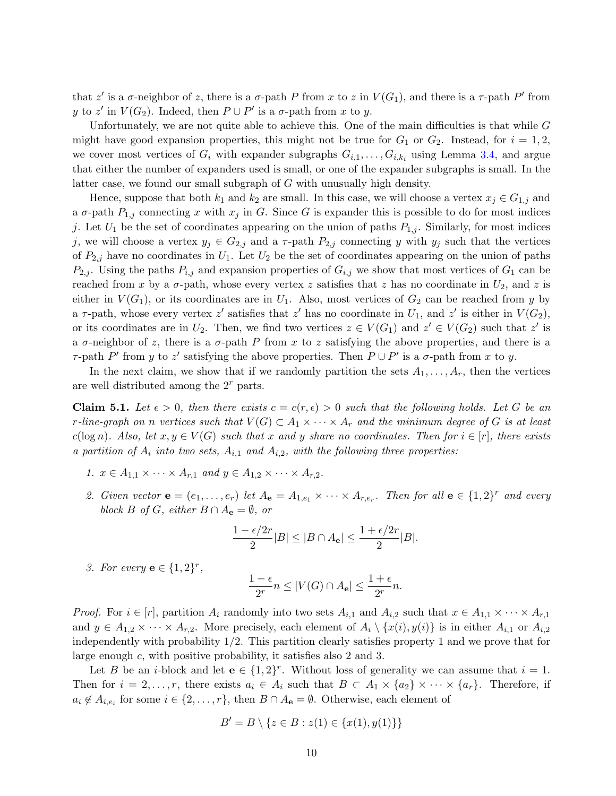that z' is a  $\sigma$ -neighbor of z, there is a  $\sigma$ -path P from x to z in  $V(G_1)$ , and there is a  $\tau$ -path P' from y to z' in  $V(G_2)$ . Indeed, then  $P \cup P'$  is a  $\sigma$ -path from x to y.

Unfortunately, we are not quite able to achieve this. One of the main difficulties is that while  $G$ might have good expansion properties, this might not be true for  $G_1$  or  $G_2$ . Instead, for  $i = 1, 2$ , we cover most vertices of  $G_i$  with expander subgraphs  $G_{i,1}, \ldots, G_{i,k_i}$  using Lemma [3.4,](#page-4-1) and argue that either the number of expanders used is small, or one of the expander subgraphs is small. In the latter case, we found our small subgraph of G with unusually high density.

Hence, suppose that both  $k_1$  and  $k_2$  are small. In this case, we will choose a vertex  $x_j \in G_{1,j}$  and a  $\sigma$ -path  $P_{1,j}$  connecting x with  $x_j$  in G. Since G is expander this is possible to do for most indices j. Let  $U_1$  be the set of coordinates appearing on the union of paths  $P_{1,j}$ . Similarly, for most indices j, we will choose a vertex  $y_j \in G_{2,j}$  and a  $\tau$ -path  $P_{2,j}$  connecting y with  $y_j$  such that the vertices of  $P_{2,j}$  have no coordinates in  $U_1$ . Let  $U_2$  be the set of coordinates appearing on the union of paths  $P_{2,j}$ . Using the paths  $P_{i,j}$  and expansion properties of  $G_{i,j}$  we show that most vertices of  $G_1$  can be reached from x by a  $\sigma$ -path, whose every vertex z satisfies that z has no coordinate in  $U_2$ , and z is either in  $V(G_1)$ , or its coordinates are in  $U_1$ . Also, most vertices of  $G_2$  can be reached from y by a  $\tau$ -path, whose every vertex z' satisfies that z' has no coordinate in  $U_1$ , and z' is either in  $V(G_2)$ , or its coordinates are in  $U_2$ . Then, we find two vertices  $z \in V(G_1)$  and  $z' \in V(G_2)$  such that  $z'$  is a  $\sigma$ -neighbor of z, there is a  $\sigma$ -path P from x to z satisfying the above properties, and there is a τ-path P' from y to z' satisfying the above properties. Then  $P \cup P'$  is a σ-path from x to y.

In the next claim, we show that if we randomly partition the sets  $A_1, \ldots, A_r$ , then the vertices are well distributed among the  $2<sup>r</sup>$  parts.

<span id="page-9-0"></span>**Claim 5.1.** Let  $\epsilon > 0$ , then there exists  $c = c(r, \epsilon) > 0$  such that the following holds. Let G be an r-line-graph on n vertices such that  $V(G) \subset A_1 \times \cdots \times A_r$  and the minimum degree of G is at least  $c(\log n)$ . Also, let  $x, y \in V(G)$  such that x and y share no coordinates. Then for  $i \in [r]$ , there exists a partition of  $A_i$  into two sets,  $A_{i,1}$  and  $A_{i,2}$ , with the following three properties:

- 1.  $x \in A_{1,1} \times \cdots \times A_{r,1}$  and  $y \in A_{1,2} \times \cdots \times A_{r,2}$ .
- 2. Given vector  $\mathbf{e} = (e_1, \ldots, e_r)$  let  $A_{\mathbf{e}} = A_{1,e_1} \times \cdots \times A_{r,e_r}$ . Then for all  $\mathbf{e} \in \{1,2\}^r$  and every block B of G, either  $B \cap A_{\mathbf{e}} = \emptyset$ , or

$$
\frac{1-\epsilon/2r}{2}|B|\leq |B\cap A_{\mathbf{e}}|\leq \frac{1+\epsilon/2r}{2}|B|.
$$

3. For every  $\mathbf{e} \in \{1,2\}^r$ ,

$$
\frac{1-\epsilon}{2^r}n \le |V(G) \cap A_{\mathbf{e}}| \le \frac{1+\epsilon}{2^r}n.
$$

*Proof.* For  $i \in [r]$ , partition  $A_i$  randomly into two sets  $A_{i,1}$  and  $A_{i,2}$  such that  $x \in A_{1,1} \times \cdots \times A_{r,1}$ and  $y \in A_{1,2} \times \cdots \times A_{r,2}$ . More precisely, each element of  $A_i \setminus \{x(i), y(i)\}$  is in either  $A_{i,1}$  or  $A_{i,2}$ independently with probability 1/2. This partition clearly satisfies property 1 and we prove that for large enough c, with positive probability, it satisfies also 2 and 3.

Let B be an *i*-block and let  $e \in \{1,2\}^r$ . Without loss of generality we can assume that  $i = 1$ . Then for  $i = 2, \ldots, r$ , there exists  $a_i \in A_i$  such that  $B \subset A_1 \times \{a_2\} \times \cdots \times \{a_r\}$ . Therefore, if  $a_i \notin A_{i,e_i}$  for some  $i \in \{2,\ldots,r\}$ , then  $B \cap A_{\mathbf{e}} = \emptyset$ . Otherwise, each element of

$$
B' = B \setminus \{ z \in B : z(1) \in \{ x(1), y(1) \} \}
$$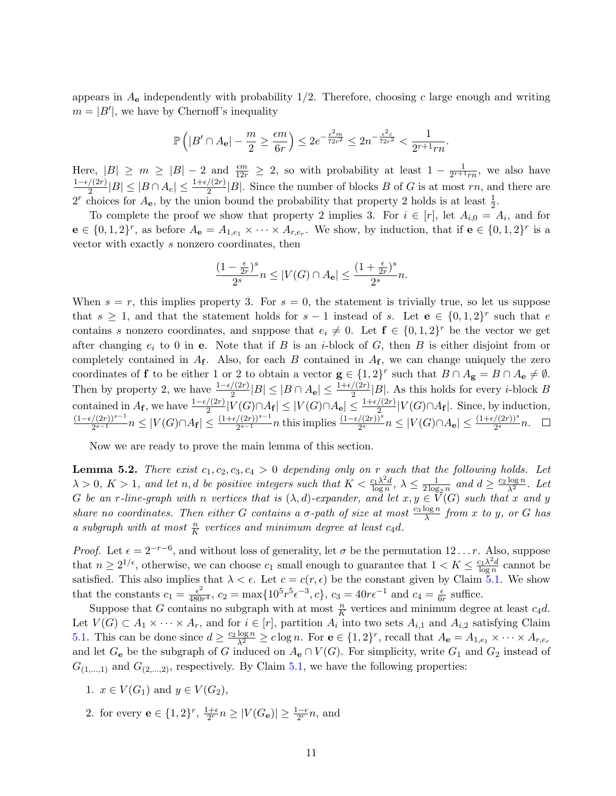appears in  $A_{e}$  independently with probability 1/2. Therefore, choosing c large enough and writing  $m = |B'|$ , we have by Chernoff's inequality

$$
\mathbb{P}\left(|B'\cap A_\mathbf{e}|-\frac{m}{2}\geq \frac{\epsilon m}{6r}\right)\leq 2e^{-\frac{\epsilon^2 m}{72r^2}}\leq 2n^{-\frac{\epsilon^2 c}{72r^2}}<\frac{1}{2^{r+1}rn}.
$$

Here,  $|B| \ge m \ge |B| - 2$  and  $\frac{\epsilon m}{12r} \ge 2$ , so with probability at least  $1 - \frac{1}{2^{r+1}}$  $\frac{1}{2^{r+1}rn}$ , we also have  $1-\epsilon/(2r)$  $\frac{1}{2}(|2r|)|B| \leq |B \cap A_e| \leq \frac{1+\epsilon/(2r)}{2}|B|$ . Since the number of blocks B of G is at most rn, and there are  $2^r$  choices for  $A_e$ , by the union bound the probability that property 2 holds is at least  $\frac{1}{2}$ .

To complete the proof we show that property 2 implies 3. For  $i \in [r]$ , let  $A_{i,0} = A_i$ , and for  $\mathbf{e} \in \{0,1,2\}^r$ , as before  $A_{\mathbf{e}} = A_{1,e_1} \times \cdots \times A_{r,e_r}$ . We show, by induction, that if  $\mathbf{e} \in \{0,1,2\}^r$  is a vector with exactly s nonzero coordinates, then

$$
\frac{(1-\frac{\epsilon}{2r})^s}{2^s}n\leq |V(G)\cap A_{\mathbf{e}}|\leq \frac{(1+\frac{\epsilon}{2r})^s}{2^s}n.
$$

When  $s = r$ , this implies property 3. For  $s = 0$ , the statement is trivially true, so let us suppose that  $s \geq 1$ , and that the statement holds for  $s-1$  instead of s. Let  $e \in \{0,1,2\}^r$  such that e contains s nonzero coordinates, and suppose that  $e_i \neq 0$ . Let  $f \in \{0,1,2\}^r$  be the vector we get after changing  $e_i$  to 0 in e. Note that if B is an *i*-block of G, then B is either disjoint from or completely contained in  $A_f$ . Also, for each B contained in  $A_f$ , we can change uniquely the zero coordinates of **f** to be either 1 or 2 to obtain a vector  $\mathbf{g} \in \{1,2\}^r$  such that  $B \cap A_{\mathbf{g}} = B \cap A_{\mathbf{e}} \neq \emptyset$ . Then by property 2, we have  $\frac{1-\epsilon/(2r)}{2}|B| \leq |B \cap A_e| \leq \frac{1+\epsilon/(2r)}{2}|B|$ . As this holds for every *i*-block B contained in  $A_{\mathbf{f}}$ , we have  $\frac{1-\epsilon/(2r)}{2}|V(G)\cap A_{\mathbf{f}}| \leq |V(G)\cap A_{\mathbf{e}}| \leq \frac{1+\epsilon/(2r)}{2}|V(G)\cap A_{\mathbf{f}}|$ . Since, by induction,  $(1-\epsilon/(2r))^{s-1}$  $\frac{((2r))^{s-1}}{2^{s-1}} n \leq |V(G) \cap A_{\mathbf{f}}| \leq \frac{(1+\epsilon/(2r))^{s-1}}{2^{s-1}} n$  this implies  $\frac{(1-\epsilon/(2r))^s}{2^s} n \leq |V(G) \cap A_{\mathbf{e}}| \leq \frac{(1+\epsilon/(2r))^s}{2^s} n$ .

Now we are ready to prove the main lemma of this section.

<span id="page-10-0"></span>**Lemma 5.2.** There exist  $c_1, c_2, c_3, c_4 > 0$  depending only on r such that the following holds. Let  $\lambda > 0, K > 1$ , and let n, d be positive integers such that  $K < \frac{c_1 \lambda^2 d_1}{\log n}$  $\frac{\log n}{\log n}, \ \lambda \leq \frac{1}{2\log n}$  $rac{1}{2\log_2 n}$  and  $d \geq \frac{c_2 \log n}{\lambda^2}$ . Let G be an r-line-graph with n vertices that is  $(\lambda, d)$ -expander, and let  $x, y \in V(G)$  such that x and y share no coordinates. Then either G contains a  $\sigma$ -path of size at most  $\frac{c_3 \log n}{\lambda}$  from x to y, or G has a subgraph with at most  $\frac{n}{K}$  vertices and minimum degree at least c<sub>4</sub>d.

*Proof.* Let  $\epsilon = 2^{-r-6}$ , and without loss of generality, let  $\sigma$  be the permutation 12... r. Also, suppose that  $n \geq 2^{1/\epsilon}$ , otherwise, we can choose  $c_1$  small enough to guarantee that  $1 < K \leq \frac{c_1 \lambda^2 d}{\log n}$  $\frac{\log n}{\log n}$  cannot be satisfied. This also implies that  $\lambda < \epsilon$ . Let  $c = c(r, \epsilon)$  be the constant given by Claim [5.1.](#page-9-0) We show that the constants  $c_1 = \frac{\epsilon^2}{480}$  $\frac{\epsilon^2}{480r^4}$ ,  $c_2 = \max\{10^5r^5\epsilon^{-3}, c\}$ ,  $c_3 = 40r\epsilon^{-1}$  and  $c_4 = \frac{\epsilon}{64}$  $\frac{\epsilon}{6r}$  suffice.

Suppose that G contains no subgraph with at most  $\frac{n}{K}$  vertices and minimum degree at least  $c_4d$ . Let  $V(G) \subset A_1 \times \cdots \times A_r$ , and for  $i \in [r]$ , partition  $A_i$  into two sets  $A_{i,1}$  and  $A_{i,2}$  satisfying Claim [5.1.](#page-9-0) This can be done since  $d \geq \frac{c_2 \log n}{\lambda^2} \geq c \log n$ . For  $\mathbf{e} \in \{1,2\}^r$ , recall that  $A_{\mathbf{e}} = A_{1,e_1} \times \cdots \times A_{r,e_r}$ and let  $G_e$  be the subgraph of G induced on  $A_e \cap V(G)$ . For simplicity, write  $G_1$  and  $G_2$  instead of  $G_{(1,...,1)}$  and  $G_{(2,...,2)}$ , respectively. By Claim [5.1,](#page-9-0) we have the following properties:

- 1.  $x \in V(G_1)$  and  $y \in V(G_2)$ ,
- 2. for every  $\mathbf{e} \in \{1,2\}^r$ ,  $\frac{1+\epsilon}{2r}$  $\frac{1+\epsilon}{2^{r}} n \geq |V(G_{\mathbf{e}})| \geq \frac{1-\epsilon}{2^{r}} n$ , and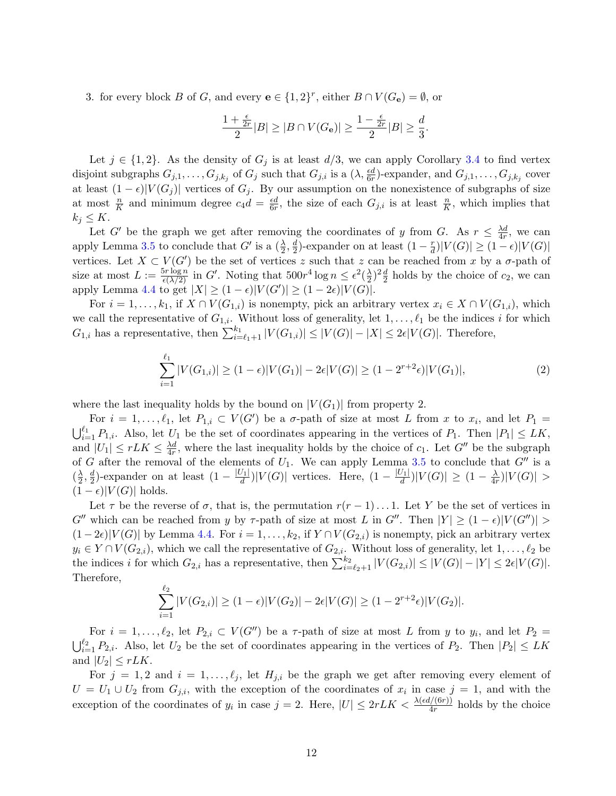3. for every block B of G, and every  $e \in \{1,2\}^r$ , either  $B \cap V(G_e) = \emptyset$ , or

$$
\frac{1+\frac{\epsilon}{2r}}{2}|B| \ge |B \cap V(G_{\mathbf{e}})| \ge \frac{1-\frac{\epsilon}{2r}}{2}|B| \ge \frac{d}{3}.
$$

Let  $j \in \{1,2\}$ . As the density of  $G_j$  is at least  $d/3$ , we can apply Corollary [3.4](#page-4-1) to find vertex disjoint subgraphs  $G_{j,1},\ldots,G_{j,k_j}$  of  $G_j$  such that  $G_{j,i}$  is a  $(\lambda, \frac{\epsilon d}{6r})$ -expander, and  $G_{j,1},\ldots,G_{j,k_j}$  cover at least  $(1 - \epsilon)|V(G_j)|$  vertices of  $G_j$ . By our assumption on the nonexistence of subgraphs of size at most  $\frac{n}{K}$  and minimum degree  $c_4d = \frac{\epsilon d}{6r}$  $\frac{\epsilon d}{6r}$ , the size of each  $G_{j,i}$  is at least  $\frac{n}{K}$ , which implies that  $k_j \leq K$ .

Let G' be the graph we get after removing the coordinates of y from G. As  $r \leq \frac{\lambda d}{4r}$  $\frac{\lambda d}{4r}$ , we can apply Lemma [3.5](#page-5-1) to conclude that  $G'$  is a  $(\frac{\lambda}{2}, \frac{d}{2})$  $\frac{d}{2}$ )-expander on at least  $(1 - \frac{r}{d})$  $\frac{r}{d}|V(G)| \geq (1-\epsilon)|V(G)|$ vertices. Let  $X \subset V(G')$  be the set of vertices z such that z can be reached from x by a  $\sigma$ -path of size at most  $L := \frac{5r \log n}{\epsilon(\lambda/2)}$  in G'. Noting that  $500r^4 \log n \leq \epsilon^2(\frac{\lambda}{2})$  $\frac{\lambda}{2}$ )<sup>2</sup> $\frac{d}{2}$  holds by the choice of  $c_2$ , we can apply Lemma [4.4](#page-8-0) to get  $|X| \ge (1 - \epsilon)|V(G')| \ge (1 - 2\epsilon)|V(G)|$ .

For  $i = 1, \ldots, k_1$ , if  $X \cap V(G_{1,i})$  is nonempty, pick an arbitrary vertex  $x_i \in X \cap V(G_{1,i})$ , which we call the representative of  $G_{1,i}$ . Without loss of generality, let  $1, \ldots, \ell_1$  be the indices i for which  $G_{1,i}$  has a representative, then  $\sum_{i=\ell_1+1}^{k_1} |V(G_{1,i})| \leq |V(G)| - |X| \leq 2\epsilon |V(G)|$ . Therefore,

<span id="page-11-0"></span>
$$
\sum_{i=1}^{\ell_1} |V(G_{1,i})| \ge (1 - \epsilon)|V(G_1)| - 2\epsilon|V(G)| \ge (1 - 2^{r+2}\epsilon)|V(G_1)|,
$$
\n(2)

where the last inequality holds by the bound on  $|V(G_1)|$  from property 2.

For  $i = 1, \ldots, \ell_1$ , let  $P_{1,i} \subset V(G')$  be a  $\sigma$ -path of size at most L from x to  $x_i$ , and let  $P_1 =$  $\bigcup_{i=1}^{\ell_1} P_{1,i}$ . Also, let  $U_1$  be the set of coordinates appearing in the vertices of  $P_1$ . Then  $|P_1| \leq LK$ , and  $|U_1| \leq rLK \leq \frac{\lambda d}{4r}$  $\frac{\lambda d}{4r}$ , where the last inequality holds by the choice of  $c_1$ . Let  $G''$  be the subgraph of G after the removal of the elements of  $U_1$ . We can apply Lemma [3.5](#page-5-1) to conclude that  $G''$  is a  $(\frac{\lambda}{2})$  $\frac{\lambda}{2}, \frac{d}{2}$  $\frac{d}{2}$ )-expander on at least  $(1 - \frac{|U_1|}{d})$  $\frac{|U_1|}{d}$ )| $V(G)$ | vertices. Here,  $(1 - \frac{|U_1|}{d})$  $\frac{|U_1|}{d} )|V(G)|\,\geq\,(1-\frac{\lambda}{4n})$  $\frac{\lambda}{4r})|V(G)|>$  $(1 - \epsilon)|V(G)|$  holds.

Let  $\tau$  be the reverse of  $\sigma$ , that is, the permutation  $r(r-1)...1$ . Let Y be the set of vertices in  $G''$  which can be reached from y by  $\tau$ -path of size at most L in  $G''$ . Then  $|Y| \geq (1 - \epsilon)|V(G'')|$  $(1-2\epsilon)|V(G)|$  by Lemma [4.4.](#page-8-0) For  $i=1,\ldots,k_2$ , if  $Y \cap V(G_{2,i})$  is nonempty, pick an arbitrary vertex  $y_i \in Y \cap V(G_{2,i}),$  which we call the representative of  $G_{2,i}$ . Without loss of generality, let  $1, \ldots, \ell_2$  be the indices i for which  $G_{2,i}$  has a representative, then  $\sum_{i=\ell_2+1}^{k_2} |V(G_{2,i})| \leq |V(G)| - |Y| \leq 2\epsilon |V(G)|$ . Therefore,  $\ell$ 

$$
\sum_{i=1}^{\epsilon_2} |V(G_{2,i})| \ge (1-\epsilon)|V(G_2)| - 2\epsilon|V(G)| \ge (1-2^{r+2}\epsilon)|V(G_2)|.
$$

For  $i = 1, \ldots, \ell_2$ , let  $P_{2,i} \subset V(G'')$  be a  $\tau$ -path of size at most L from y to  $y_i$ , and let  $P_2 =$  $\bigcup_{i=1}^{\ell_2} P_{2,i}$ . Also, let  $U_2$  be the set of coordinates appearing in the vertices of  $P_2$ . Then  $|P_2| \leq LK$ and  $|U_2| \leq rLK$ .

For  $j = 1, 2$  and  $i = 1, \ldots, \ell_j$ , let  $H_{j,i}$  be the graph we get after removing every element of  $U = U_1 \cup U_2$  from  $G_{j,i}$ , with the exception of the coordinates of  $x_i$  in case  $j = 1$ , and with the exception of the coordinates of  $y_i$  in case  $j = 2$ . Here,  $|U| \leq 2rLK < \frac{\lambda(\epsilon d/(6r))}{4r}$  holds by the choice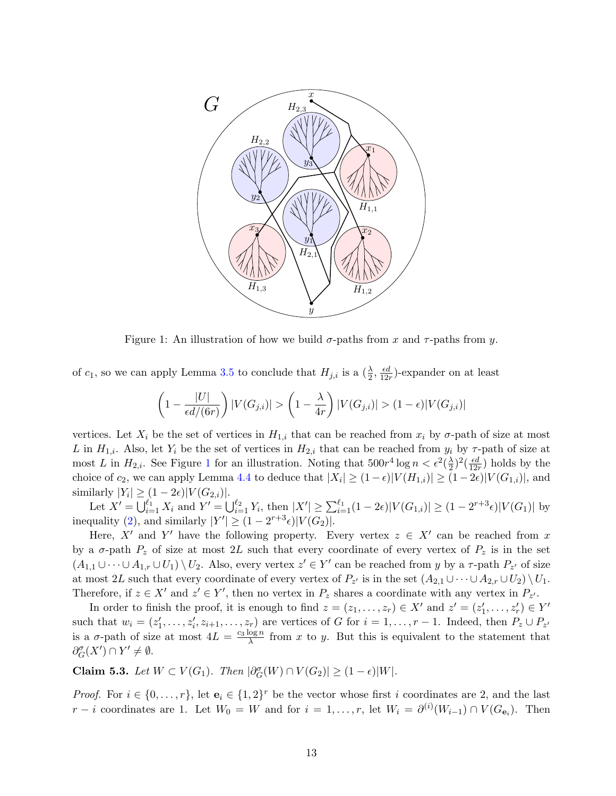

<span id="page-12-0"></span>Figure 1: An illustration of how we build  $\sigma$ -paths from x and  $\tau$ -paths from y.

of  $c_1$ , so we can apply Lemma [3.5](#page-5-1) to conclude that  $H_{j,i}$  is a  $(\frac{\lambda}{2}, \frac{\epsilon d}{12i})$  $\frac{\epsilon d}{12r}$ )-expander on at least

$$
\left(1 - \frac{|U|}{\epsilon d/(6r)}\right)|V(G_{j,i})| > \left(1 - \frac{\lambda}{4r}\right)|V(G_{j,i})| > (1 - \epsilon)|V(G_{j,i})|
$$

vertices. Let  $X_i$  be the set of vertices in  $H_{1,i}$  that can be reached from  $x_i$  by  $\sigma$ -path of size at most L in  $H_{1,i}$ . Also, let  $Y_i$  be the set of vertices in  $H_{2,i}$  that can be reached from  $y_i$  by  $\tau$ -path of size at most L in  $H_{2,i}$ . See Figure [1](#page-12-0) for an illustration. Noting that  $500r^4 \log n < \epsilon^2(\frac{\lambda}{2})$  $(\frac{\epsilon d}{2})^2(\frac{\epsilon d}{124})$  $\frac{\epsilon d}{12r}$ ) holds by the choice of  $c_2$ , we can apply Lemma [4.4](#page-8-0) to deduce that  $|X_i| \ge (1 - \epsilon)|V(H_{1,i})| \ge (1 - 2\epsilon)|V(G_{1,i})|$ , and similarly  $|Y_i| \ge (1 - 2\epsilon)|V(G_{2,i})|$ .

Let  $X' = \bigcup_{i=1}^{\ell_1} X_i$  and  $Y' = \bigcup_{i=1}^{\ell_2} Y_i$ , then  $|X'| \geq \sum_{i=1}^{\ell_1} (1 - 2\epsilon)|V(G_{1,i})| \geq (1 - 2^{r+3}\epsilon)|V(G_1)|$  by inequality [\(2\)](#page-11-0), and similarly  $|Y'| \ge (1 - 2^{r+3} \epsilon) |V(G_2)|$ .

Here, X' and Y' have the following property. Every vertex  $z \in X'$  can be reached from x by a  $\sigma$ -path  $P_z$  of size at most 2L such that every coordinate of every vertex of  $P_z$  is in the set  $(A_{1,1} \cup \cdots \cup A_{1,r} \cup U_1) \setminus U_2$ . Also, every vertex  $z' \in Y'$  can be reached from y by a  $\tau$ -path  $P_{z'}$  of size at most 2L such that every coordinate of every vertex of  $P_{z'}$  is in the set  $(A_{2,1} \cup \cdots \cup A_{2,r} \cup U_2) \setminus U_1$ . Therefore, if  $z \in X'$  and  $z' \in Y'$ , then no vertex in  $P_z$  shares a coordinate with any vertex in  $P_{z'}$ .

In order to finish the proof, it is enough to find  $z = (z_1, \ldots, z_r) \in X'$  and  $z' = (z'_1, \ldots, z'_r) \in Y'$ such that  $w_i = (z'_1, \ldots, z'_i, z_{i+1}, \ldots, z_r)$  are vertices of G for  $i = 1, \ldots, r-1$ . Indeed, then  $P_z \cup P_{z'}$ is a  $\sigma$ -path of size at most  $4L = \frac{c_3 \log n}{\lambda}$  $\frac{\log n}{\lambda}$  from x to y. But this is equivalent to the statement that  $\partial_G^{\sigma}(X') \cap Y' \neq \emptyset.$ 

Claim 5.3. Let  $W \subset V(G_1)$ . Then  $|\partial_G^{\sigma}(W) \cap V(G_2)| \geq (1 - \epsilon)|W|$ .

*Proof.* For  $i \in \{0, ..., r\}$ , let  $\mathbf{e}_i \in \{1, 2\}^r$  be the vector whose first i coordinates are 2, and the last  $r - i$  coordinates are 1. Let  $W_0 = W$  and for  $i = 1, \ldots, r$ , let  $W_i = \partial^{(i)}(W_{i-1}) \cap V(G_{e_i})$ . Then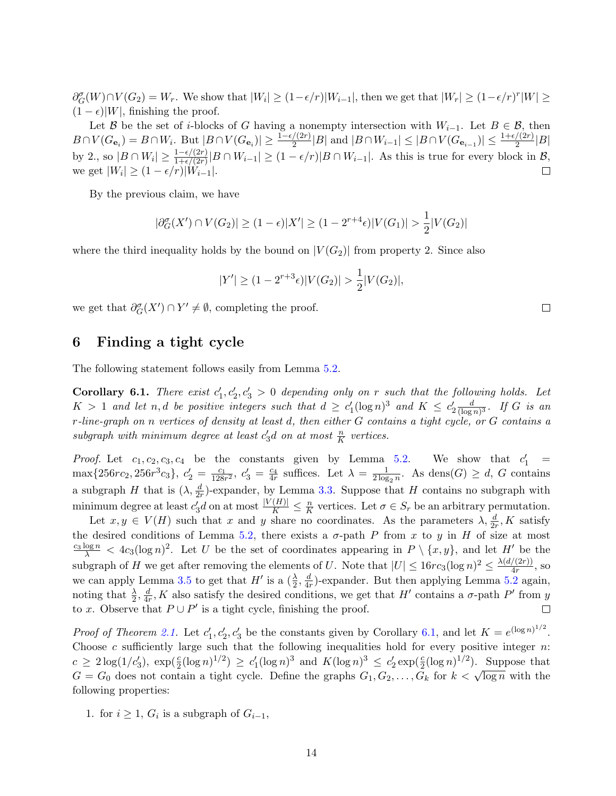$\partial_G^{\sigma}(W) \cap V(G_2) = W_r$ . We show that  $|W_i| \ge (1 - \epsilon/r)|W_{i-1}|$ , then we get that  $|W_r| \ge (1 - \epsilon/r)^r |W| \ge$  $(1 - \epsilon)|W|$ , finishing the proof.

Let B be the set of i-blocks of G having a nonempty intersection with  $W_{i-1}$ . Let  $B \in \mathcal{B}$ , then  $B \cap V(G_{\mathbf{e}_i}) = B \cap W_i$ . But  $|B \cap V(G_{\mathbf{e}_i})| \ge \frac{1 - \epsilon/(2r)}{2}|B|$  and  $|B \cap W_{i-1}| \le |B \cap V(G_{\mathbf{e}_{i-1}})| \le \frac{1 + \epsilon/(2r)}{2}|B|$ by 2., so  $|B \cap W_i| \ge \frac{1-\epsilon/(2r)}{1+\epsilon/(2r)}|B \cap W_{i-1}| \ge (1-\epsilon/r)|B \cap W_{i-1}|$ . As this is true for every block in  $\mathcal{B}$ , we get  $|W_i| \geq (1 - \epsilon/r)|W_{i-1}|$ .  $\Box$ 

By the previous claim, we have

$$
|\partial_G^{\sigma}(X') \cap V(G_2)| \ge (1 - \epsilon)|X'| \ge (1 - 2^{r+4}\epsilon)|V(G_1)| > \frac{1}{2}|V(G_2)|
$$

where the third inequality holds by the bound on  $|V(G_2)|$  from property 2. Since also

$$
|Y'| \ge (1 - 2^{r+3}\epsilon)|V(G_2)| > \frac{1}{2}|V(G_2)|,
$$

we get that  $\partial_G^{\sigma}(X') \cap Y' \neq \emptyset$ , completing the proof.

## 6 Finding a tight cycle

<span id="page-13-0"></span>The following statement follows easily from Lemma [5.2.](#page-10-0)

**Corollary 6.1.** There exist  $c'_1, c'_2, c'_3 > 0$  depending only on r such that the following holds. Let  $K > 1$  and let n, d be positive integers such that  $d \geq c_1'(\log n)^3$  and  $K \leq c_2' \frac{d}{(\log n)^3}$  $\frac{d}{(\log n)^3}$ . If G is an r-line-graph on n vertices of density at least d, then either G contains a tight cycle, or G contains a subgraph with minimum degree at least  $c'_3d$  on at most  $\frac{n}{K}$  vertices.

*Proof.* Let  $c_1, c_2, c_3, c_4$  be the constants given by Lemma [5.2.](#page-10-0) We show that  $c'_1$  = max $\{256rc_2, 256r^3c_3\}, c'_2 = \frac{c_1}{128r^2}, c'_3 = \frac{c_4}{4r}$  suffices. Let  $\lambda = \frac{1}{2\log r}$  $\frac{1}{2\log_2 n}$ . As dens $(G) \geq d$ , G contains a subgraph H that is  $(\lambda, \frac{d}{2r})$ -expander, by Lemma [3.3.](#page-4-0) Suppose that H contains no subgraph with minimum degree at least  $c'_3d$  on at most  $\frac{|V(H)|}{K} \leq \frac{n}{K}$  $\frac{n}{K}$  vertices. Let  $\sigma \in S_r$  be an arbitrary permutation.

Let  $x, y \in V(H)$  such that x and y share no coordinates. As the parameters  $\lambda, \frac{d}{2r}, K$  satisfy the desired conditions of Lemma [5.2,](#page-10-0) there exists a  $\sigma$ -path P from x to y in H of size at most  $\frac{c_3 \log n}{\lambda} < 4c_3(\log n)^2$ . Let U be the set of coordinates appearing in  $P \setminus \{x, y\}$ , and let H' be the subgraph of H we get after removing the elements of U. Note that  $|U| \leq 16rc_3(\log n)^2 \leq \frac{\lambda(d/(2r))}{4r}$  $\frac{\sqrt{(2r)}}{4r}$ , so we can apply Lemma [3.5](#page-5-1) to get that  $H'$  is a  $(\frac{\lambda}{2}, \frac{d}{4n})$  $\frac{d}{dr}$ )-expander. But then applying Lemma [5.2](#page-10-0) again, noting that  $\frac{\lambda}{2}, \frac{d}{4n}$  $\frac{d}{dr}$ , K also satisfy the desired conditions, we get that H' contains a  $\sigma$ -path P' from y to x. Observe that  $P \cup P'$  is a tight cycle, finishing the proof.  $\Box$ 

*Proof of Theorem [2.1.](#page-2-0)* Let  $c'_1, c'_2, c'_3$  be the constants given by Corollary [6.1,](#page-13-0) and let  $K = e^{(\log n)^{1/2}}$ . Choose  $c$  sufficiently large such that the following inequalities hold for every positive integer  $n$ :  $c \geq 2\log(1/c'_3)$ ,  $\exp(\frac{c}{2}(\log n)^{1/2}) \geq c'_1(\log n)^3$  and  $K(\log n)^3 \leq c'_2 \exp(\frac{c}{2}(\log n)^{1/2})$ . Suppose that  $G = G_0$  does not contain a tight cycle. Define the graphs  $G_1, G_2, \ldots, G_k$  for  $k < \sqrt{\log n}$  with the following properties:

1. for  $i \geq 1$ ,  $G_i$  is a subgraph of  $G_{i-1}$ ,

 $\Box$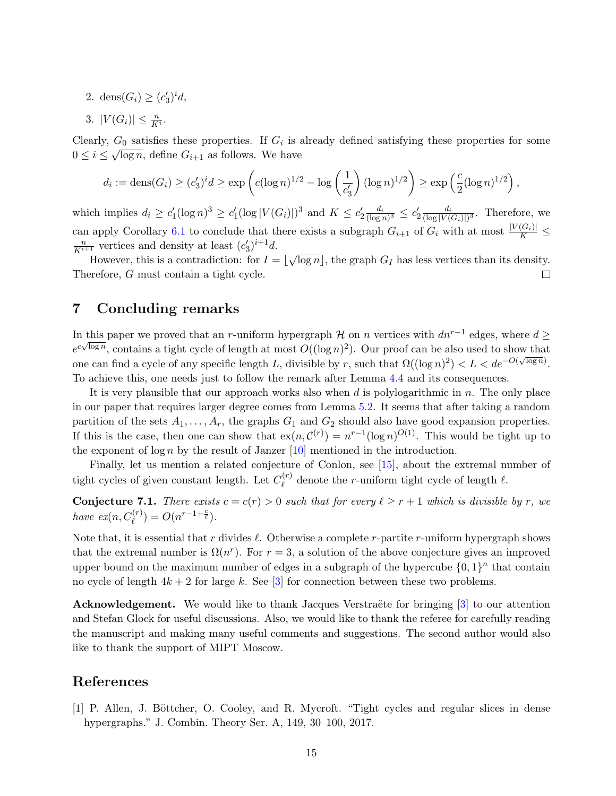- 2. dens $(G_i) \ge (c'_3)^i d$ ,
- 3.  $|V(G_i)| \leq \frac{n}{K^i}$ .

Clearly,  $G_0$  satisfies these properties. If  $G_i$  is already defined satisfying these properties for some  $0 \leq i \leq \sqrt{\log n}$ , define  $G_{i+1}$  as follows. We have

$$
d_i := \text{dens}(G_i) \ge (c'_3)^i d \ge \exp\left(c(\log n)^{1/2} - \log\left(\frac{1}{c'_3}\right)(\log n)^{1/2}\right) \ge \exp\left(\frac{c}{2}(\log n)^{1/2}\right),
$$

which implies  $d_i \geq c'_1 (\log n)^3 \geq c'_1 (\log |V(G_i)|)^3$  and  $K \leq c'_2 \frac{d_i}{(\log n)^3} \leq c'_2 \frac{d_i}{(\log |V(G_i)|)^3}$  $\frac{d_i}{(\log |V(G_i)|)^3}$ . Therefore, we can apply Corollary [6.1](#page-13-0) to conclude that there exists a subgraph  $G_{i+1}$  of  $G_i$  with at most  $\frac{|V(G_i)|}{K} \leq$  $\frac{n}{K^{i+1}}$  vertices and density at least  $(c'_3)^{i+1}d$ . √

However, this is a contradiction: for  $I = \vert$  $\overline{\log n}$ , the graph  $G_I$  has less vertices than its density. Therefore, G must contain a tight cycle.  $\Box$ 

## 7 Concluding remarks

In this paper we proved that an r-uniform hypergraph  $\mathcal{H}$  on n vertices with  $dn^{r-1}$  edges, where  $d \ge$  $e^{c\sqrt{\log n}}$ , contains a tight cycle of length at most  $O((\log n)^2)$ . Our proof can be also used to show that one can find a cycle of any specific length L, divisible by r, such that  $\Omega((\log n)^2) < L < de^{-O(\sqrt{\log n})}$ . To achieve this, one needs just to follow the remark after Lemma [4.4](#page-8-0) and its consequences.

It is very plausible that our approach works also when  $d$  is polylogarithmic in  $n$ . The only place in our paper that requires larger degree comes from Lemma [5.2.](#page-10-0) It seems that after taking a random partition of the sets  $A_1, \ldots, A_r$ , the graphs  $G_1$  and  $G_2$  should also have good expansion properties. If this is the case, then one can show that  $ex(n, C^{(r)}) = n^{r-1}(\log n)^{O(1)}$ . This would be tight up to the exponent of  $\log n$  by the result of Janzer [\[10\]](#page-15-15) mentioned in the introduction.

Finally, let us mention a related conjecture of Conlon, see [\[15\]](#page-15-4), about the extremal number of tight cycles of given constant length. Let  $C_{\ell}^{(r)}$  $\ell$ <sup>(r)</sup> denote the r-uniform tight cycle of length  $\ell$ .

**Conjecture 7.1.** There exists  $c = c(r) > 0$  such that for every  $l \ge r + 1$  which is divisible by r, we have  $ex(n, C_{\ell}^{(r)}) = O(n^{r-1+\frac{c}{\ell}}).$ 

Note that, it is essential that r divides  $\ell$ . Otherwise a complete r-partite r-uniform hypergraph shows that the extremal number is  $\Omega(n^r)$ . For  $r=3$ , a solution of the above conjecture gives an improved upper bound on the maximum number of edges in a subgraph of the hypercube  $\{0,1\}^n$  that contain no cycle of length  $4k + 2$  for large k. See [\[3\]](#page-15-17) for connection between these two problems.

**Acknowledgement.** We would like to thank Jacques Verstraëte for bringing  $\begin{bmatrix} 3 \end{bmatrix}$  to our attention and Stefan Glock for useful discussions. Also, we would like to thank the referee for carefully reading the manuscript and making many useful comments and suggestions. The second author would also like to thank the support of MIPT Moscow.

## References

<span id="page-14-0"></span>[1] P. Allen, J. Böttcher, O. Cooley, and R. Mycroft. "Tight cycles and regular slices in dense hypergraphs." J. Combin. Theory Ser. A, 149, 30–100, 2017.